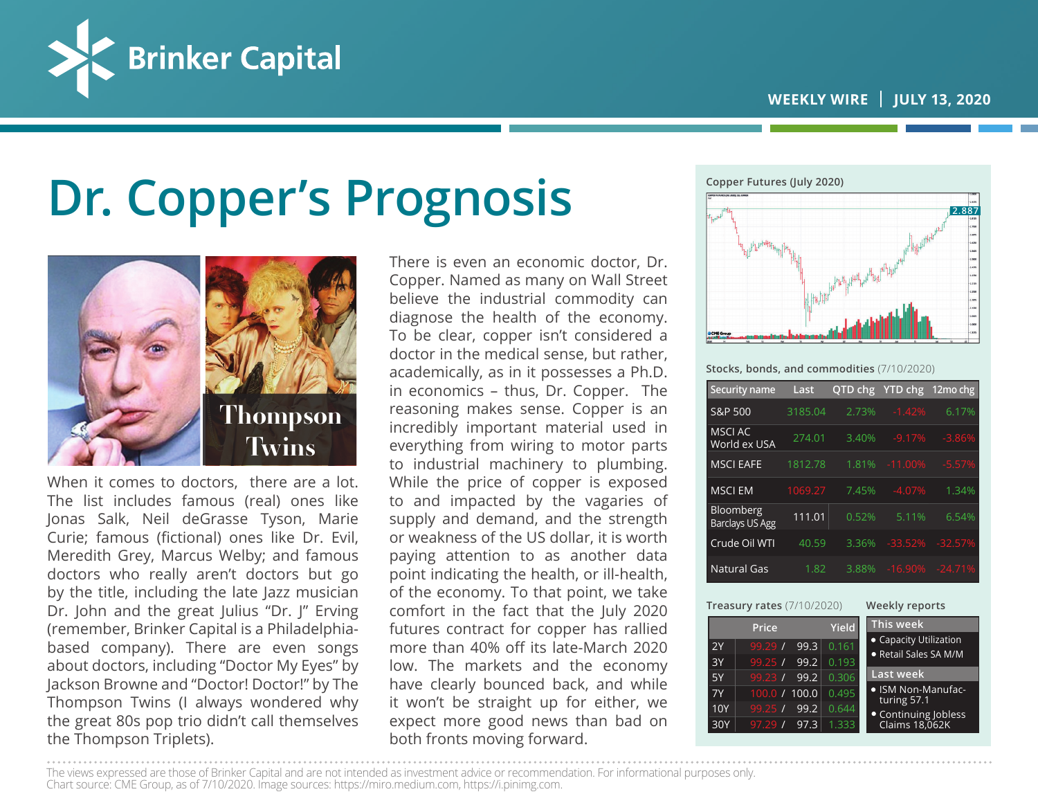

# **Dr. Copper's Prognosis**



When it comes to doctors, there are a lot. The list includes famous (real) ones like Jonas Salk, Neil deGrasse Tyson, Marie Curie; famous (fictional) ones like Dr. Evil, Meredith Grey, Marcus Welby; and famous doctors who really aren't doctors but go by the title, including the late Jazz musician Dr. John and the great Julius "Dr. J" Erving (remember, Brinker Capital is a Philadelphiabased company). There are even songs about doctors, including "Doctor My Eyes" by Jackson Browne and "Doctor! Doctor!" by The Thompson Twins (I always wondered why the great 80s pop trio didn't call themselves the Thompson Triplets).

There is even an economic doctor, Dr. Copper. Named as many on Wall Street believe the industrial commodity can diagnose the health of the economy. To be clear, copper isn't considered a doctor in the medical sense, but rather, academically, as in it possesses a Ph.D. in economics – thus, Dr. Copper. The reasoning makes sense. Copper is an incredibly important material used in everything from wiring to motor parts to industrial machinery to plumbing. While the price of copper is exposed to and impacted by the vagaries of supply and demand, and the strength or weakness of the US dollar, it is worth paying attention to as another data point indicating the health, or ill-health, of the economy. To that point, we take comfort in the fact that the July 2020 futures contract for copper has rallied more than 40% off its late-March 2020 low. The markets and the economy have clearly bounced back, and while it won't be straight up for either, we expect more good news than bad on both fronts moving forward.



**Stocks, bonds, and commodities** (7/10/2020)

| Security name                              | Last    | QTD chg | <b>YTD chg</b> | 12mo chg              |
|--------------------------------------------|---------|---------|----------------|-----------------------|
| S&P 500                                    | 3185.04 | 2.73%   | $-1.42%$       | 6.17%                 |
| <b>MSCI AC</b><br>World ex USA             | 274.01  | 3.40%   | $-9.17%$       | $-3.86%$              |
| <b>MSCI EAFE</b>                           | 1812.78 | 1.81%   | $-11.00%$      | $-5.57%$              |
| <b>MSCI EM</b>                             | 1069.27 | 7.45%   | $-4.07%$       | 1.34%                 |
| <b>Bloomberg</b><br><b>Barclays US Agg</b> | 111.01  | 0.52%   | 5.11%          | 6.54%                 |
| Crude Oil WTI                              | 40.59   | 3.36%   | $-33.52%$      | $-32.57%$             |
| <b>Natural Gas</b>                         | 1.82    | 3.88%   |                | $-16.90\%$ $-24.71\%$ |

| <b>Treasury rates (7/10/2020)</b> |                 |              | Weekly reports                                  |  |
|-----------------------------------|-----------------|--------------|-------------------------------------------------|--|
|                                   | Price           | <b>Yield</b> | This week                                       |  |
| 2Y                                | 99.3<br>99.29/  | 0.161        | • Capacity Utilization<br>● Retail Sales SA M/M |  |
| 3Y                                | 99.2<br>99.25/  | 0.193        |                                                 |  |
| 5Y                                | 99.2<br>99.23/  | 0.306        | <b>Last week</b>                                |  |
| 7Y                                | 100.0 / 100.0   | 0.495        | · ISM Non-Manufac-<br>turing 57.1               |  |
| 10Y                               | 99.25/<br>99.2  | 0.644        | • Continuing Jobless                            |  |
| 30Y                               | 97.3<br>97.29 / | 1.333        | Claims 18,062K                                  |  |

The views expressed are those of Brinker Capital and are not intended as investment advice or recommendation. For informational purposes only.

Chart source: CME Group, as of 7/10/2020. Image sources: https://miro.medium.com, https://i.pinimg.com.